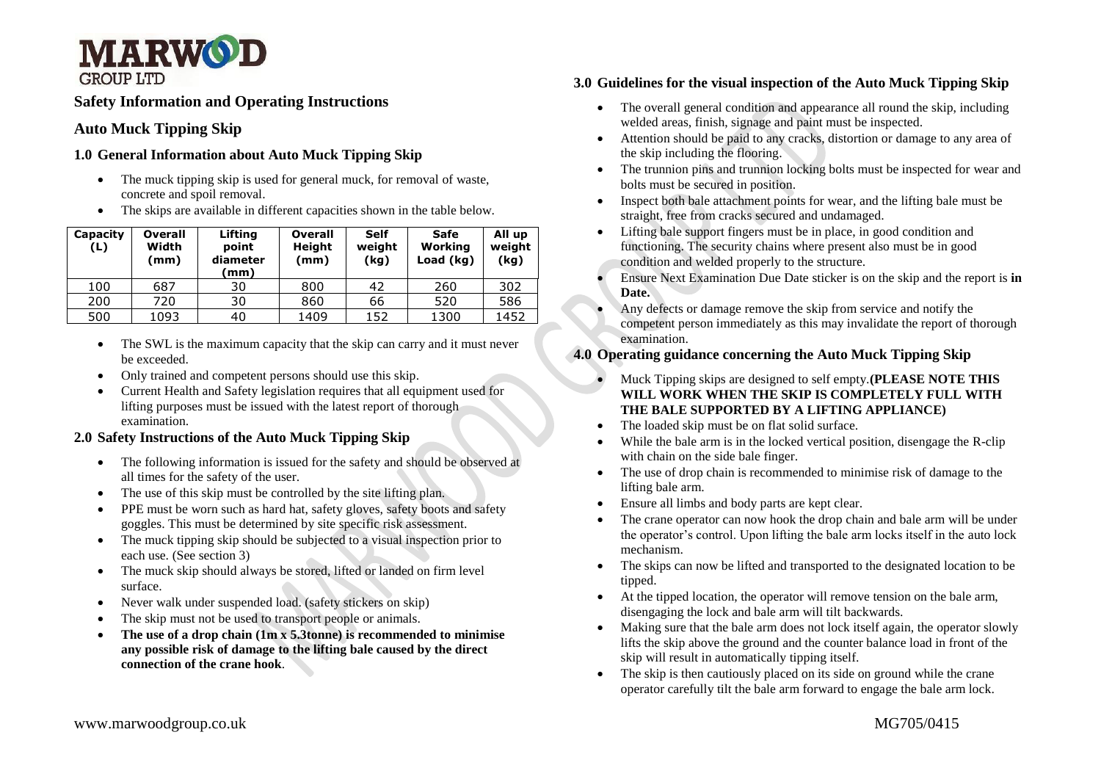

# **Safety Information and Operating Instructions**

## **Auto Muck Tipping Skip**

#### **1.0 General Information about Auto Muck Tipping Skip**

- The muck tipping skip is used for general muck, for removal of waste, concrete and spoil removal.
- The skips are available in different capacities shown in the table below.

| Capacity<br>(L) | <b>Overall</b><br>Width<br>(mm) | Lifting<br>point<br>diameter<br>mm) | <b>Overall</b><br><b>Height</b><br>(mm) | <b>Self</b><br>weight<br>(kg) | Safe<br>Working<br>Load (kg) | All up<br>weight<br>(kg) |
|-----------------|---------------------------------|-------------------------------------|-----------------------------------------|-------------------------------|------------------------------|--------------------------|
| 100             | 687                             | 30                                  | 800                                     | 42                            | 260                          | 302                      |
| 200             | 720                             | 30                                  | 860                                     | 66                            | 520                          | 586                      |
| 500             | 1093                            | 40                                  | 1409                                    | 152                           | 1300                         | 1452                     |

- The SWL is the maximum capacity that the skip can carry and it must never be exceeded.
- Only trained and competent persons should use this skip.
- Current Health and Safety legislation requires that all equipment used for lifting purposes must be issued with the latest report of thorough examination.

### **2.0 Safety Instructions of the Auto Muck Tipping Skip**

- The following information is issued for the safety and should be observed at all times for the safety of the user.
- The use of this skip must be controlled by the site lifting plan.
- PPE must be worn such as hard hat, safety gloves, safety boots and safety goggles. This must be determined by site specific risk assessment.
- The muck tipping skip should be subjected to a visual inspection prior to each use. (See section 3)
- The muck skip should always be stored, lifted or landed on firm level surface.
- Never walk under suspended load. (safety stickers on skip)
- The skip must not be used to transport people or animals.
- **The use of a drop chain (1m x 5.3tonne) is recommended to minimise any possible risk of damage to the lifting bale caused by the direct connection of the crane hook**.

### **3.0 Guidelines for the visual inspection of the Auto Muck Tipping Skip**

- The overall general condition and appearance all round the skip, including welded areas, finish, signage and paint must be inspected.
- Attention should be paid to any cracks, distortion or damage to any area of the skip including the flooring.
- The trunnion pins and trunnion locking bolts must be inspected for wear and bolts must be secured in position.
- Inspect both bale attachment points for wear, and the lifting bale must be straight, free from cracks secured and undamaged.
- Lifting bale support fingers must be in place, in good condition and functioning. The security chains where present also must be in good condition and welded properly to the structure.
- Ensure Next Examination Due Date sticker is on the skip and the report is **in Date.**
- Any defects or damage remove the skip from service and notify the competent person immediately as this may invalidate the report of thorough examination.

### **4.0 Operating guidance concerning the Auto Muck Tipping Skip**

- Muck Tipping skips are designed to self empty.**(PLEASE NOTE THIS WILL WORK WHEN THE SKIP IS COMPLETELY FULL WITH THE BALE SUPPORTED BY A LIFTING APPLIANCE)**
- The loaded skip must be on flat solid surface.
- While the bale arm is in the locked vertical position, disengage the R-clip with chain on the side bale finger.
- The use of drop chain is recommended to minimise risk of damage to the lifting bale arm.
- Ensure all limbs and body parts are kept clear.
- The crane operator can now hook the drop chain and bale arm will be under the operator's control. Upon lifting the bale arm locks itself in the auto lock mechanism.
- The skips can now be lifted and transported to the designated location to be tipped.
- At the tipped location, the operator will remove tension on the bale arm, disengaging the lock and bale arm will tilt backwards.
- Making sure that the bale arm does not lock itself again, the operator slowly lifts the skip above the ground and the counter balance load in front of the skip will result in automatically tipping itself.
- The skip is then cautiously placed on its side on ground while the crane operator carefully tilt the bale arm forward to engage the bale arm lock.